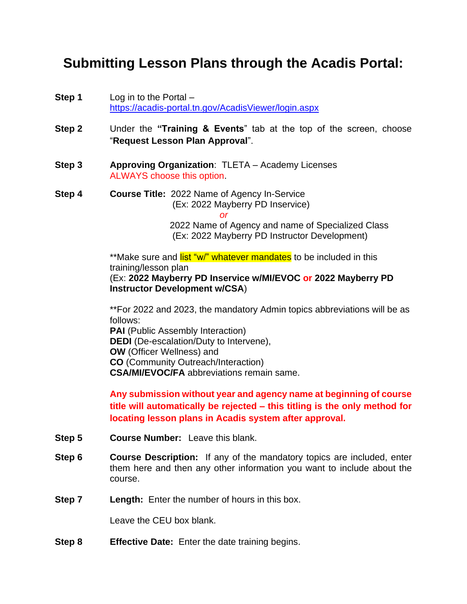## **Submitting Lesson Plans through the Acadis Portal:**

- **Step 1** Log in to the Portal <https://acadis-portal.tn.gov/AcadisViewer/login.aspx>
- **Step 2** Under the **"Training & Events**" tab at the top of the screen, choose "**Request Lesson Plan Approval**".
- **Step 3 Approving Organization**: TLETA Academy Licenses ALWAYS choose this option.
- **Step 4 Course Title:** 2022 Name of Agency In-Service (Ex: 2022 Mayberry PD Inservice) *or*

 2022 Name of Agency and name of Specialized Class (Ex: 2022 Mayberry PD Instructor Development)

\*\*Make sure and list "w/" whatever mandates to be included in this training/lesson plan

(Ex: **2022 Mayberry PD Inservice w/MI/EVOC or 2022 Mayberry PD Instructor Development w/CSA**)

\*\*For 2022 and 2023, the mandatory Admin topics abbreviations will be as follows:

**PAI** (Public Assembly Interaction) **DEDI** (De-escalation/Duty to Intervene), **OW** (Officer Wellness) and **CO** (Community Outreach/Interaction) **CSA/MI/EVOC/FA** abbreviations remain same.

**Any submission without year and agency name at beginning of course title will automatically be rejected – this titling is the only method for locating lesson plans in Acadis system after approval.**

- **Step 5 Course Number:** Leave this blank.
- **Step 6 Course Description:** If any of the mandatory topics are included, enter them here and then any other information you want to include about the course.
- **Step 7 Length:** Enter the number of hours in this box.

Leave the CEU box blank.

**Step 8 Effective Date:** Enter the date training begins.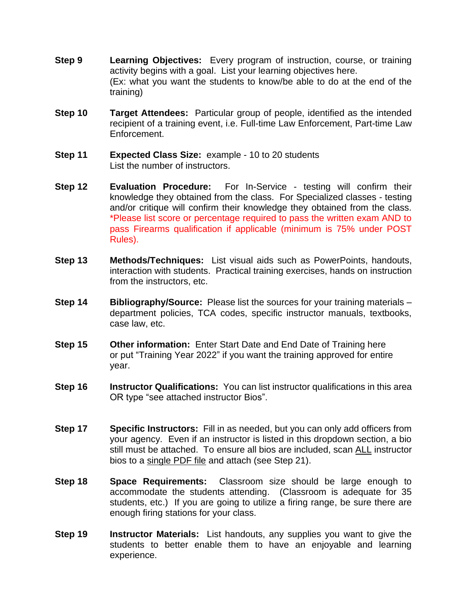- **Step 9 Learning Objectives:** Every program of instruction, course, or training activity begins with a goal. List your learning objectives here. (Ex: what you want the students to know/be able to do at the end of the training)
- **Step 10 Target Attendees:** Particular [group](http://www.businessdictionary.com/definition/group.html) of people, identified as the intended [recipient](http://www.businessdictionary.com/definition/recipient.html) of a training event, i.e. Full-time Law Enforcement, Part-time Law Enforcement.
- **Step 11 Expected Class Size:** example 10 to 20 students List the number of instructors.
- **Step 12 Evaluation Procedure:** For In-Service testing will confirm their knowledge they obtained from the class. For Specialized classes - testing and/or critique will confirm their knowledge they obtained from the class. \*Please list score or percentage required to pass the written exam AND to pass Firearms qualification if applicable (minimum is 75% under POST Rules).
- **Step 13 Methods/Techniques:** List visual aids such as PowerPoints, handouts, interaction with students. Practical training exercises, hands on instruction from the instructors, etc.
- **Step 14 Bibliography/Source:** Please list the sources for your training materials department policies, TCA codes, specific instructor manuals, textbooks, case law, etc.
- **Step 15 Other information:** Enter Start Date and End Date of Training here or put "Training Year 2022" if you want the training approved for entire year.
- **Step 16 Instructor Qualifications:** You can list instructor qualifications in this area OR type "see attached instructor Bios".
- **Step 17 Specific Instructors:** Fill in as needed, but you can only add officers from your agency. Even if an instructor is listed in this dropdown section, a bio still must be attached. To ensure all bios are included, scan ALL instructor bios to a single PDF file and attach (see Step 21).
- **Step 18 Space Requirements:** Classroom size should be large enough to accommodate the students attending. (Classroom is adequate for 35 students, etc.) If you are going to utilize a firing range, be sure there are enough firing stations for your class.
- **Step 19 Instructor Materials:** List handouts, any supplies you want to give the students to better enable them to have an enjoyable and learning experience.